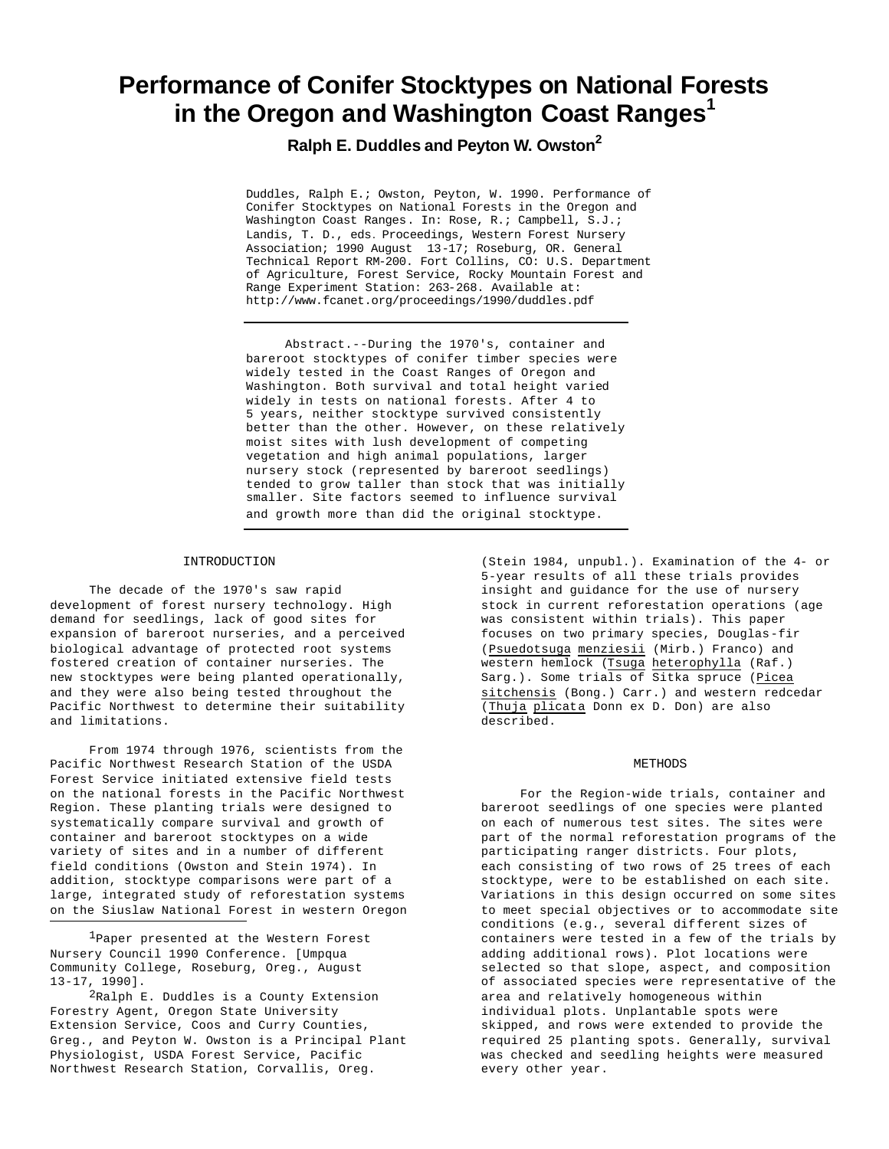# **Performance of Conifer Stocktypes on National Forests in the Oregon and Washington Coast Ranges<sup>1</sup>**

**Ralph E. Duddles and Peyton W. Owston<sup>2</sup>**

Duddles, Ralph E.; Owston, Peyton, W. 1990. Performance of Conifer Stocktypes on National Forests in the Oregon and Washington Coast Ranges. In: Rose, R.; Campbell, S.J.; Landis, T. D., eds. Proceedings, Western Forest Nursery Association; 1990 August 13-17; Roseburg, OR. General Technical Report RM-200. Fort Collins, CO: U.S. Department of Agriculture, Forest Service, Rocky Mountain Forest and Range Experiment Station: 263-268. Available at: http://www.fcanet.org/proceedings/1990/duddles.pdf

Abstract.--During the 1970's, container and bareroot stocktypes of conifer timber species were widely tested in the Coast Ranges of Oregon and Washington. Both survival and total height varied widely in tests on national forests. After 4 to 5 years, neither stocktype survived consistently better than the other. However, on these relatively moist sites with lush development of competing vegetation and high animal populations, larger nursery stock (represented by bareroot seedlings) tended to grow taller than stock that was initially smaller. Site factors seemed to influence survival and growth more than did the original stocktype.

#### INTRODUCTION

The decade of the 1970's saw rapid development of forest nursery technology. High demand for seedlings, lack of good sites for expansion of bareroot nurseries, and a perceived biological advantage of protected root systems fostered creation of container nurseries. The new stocktypes were being planted operationally, and they were also being tested throughout the Pacific Northwest to determine their suitability and limitations.

From 1974 through 1976, scientists from the Pacific Northwest Research Station of the USDA Forest Service initiated extensive field tests on the national forests in the Pacific Northwest Region. These planting trials were designed to systematically compare survival and growth of container and bareroot stocktypes on a wide variety of sites and in a number of different field conditions (Owston and Stein 1974). In addition, stocktype comparisons were part of a large, integrated study of reforestation systems on the Siuslaw National Forest in western Oregon

1Paper presented at the Western Forest Nursery Council 1990 Conference. [Umpqua Community College, Roseburg, Oreg., August 13-17, 1990].

2Ralph E. Duddles is a County Extension Forestry Agent, Oregon State University Extension Service, Coos and Curry Counties, Greg., and Peyton W. Owston is a Principal Plant Physiologist, USDA Forest Service, Pacific Northwest Research Station, Corvallis, Oreg.

(Stein 1984, unpubl.). Examination of the 4- or 5-year results of all these trials provides insight and guidance for the use of nursery stock in current reforestation operations (age was consistent within trials). This paper focuses on two primary species, Douglas-fir (Psuedotsuga menziesii (Mirb.) Franco) and western hemlock (Tsuga heterophylla (Raf.) Sarg.). Some trials of Sitka spruce (Picea sitchensis (Bong.) Carr.) and western redcedar (Thuja plicata Donn ex D. Don) are also described.

## **METHODS**

For the Region-wide trials, container and bareroot seedlings of one species were planted on each of numerous test sites. The sites were part of the normal reforestation programs of the participating ranger districts. Four plots, each consisting of two rows of 25 trees of each stocktype, were to be established on each site. Variations in this design occurred on some sites to meet special objectives or to accommodate site conditions (e.g., several different sizes of containers were tested in a few of the trials by adding additional rows). Plot locations were selected so that slope, aspect, and composition of associated species were representative of the area and relatively homogeneous within individual plots. Unplantable spots were skipped, and rows were extended to provide the required 25 planting spots. Generally, survival was checked and seedling heights were measured every other year.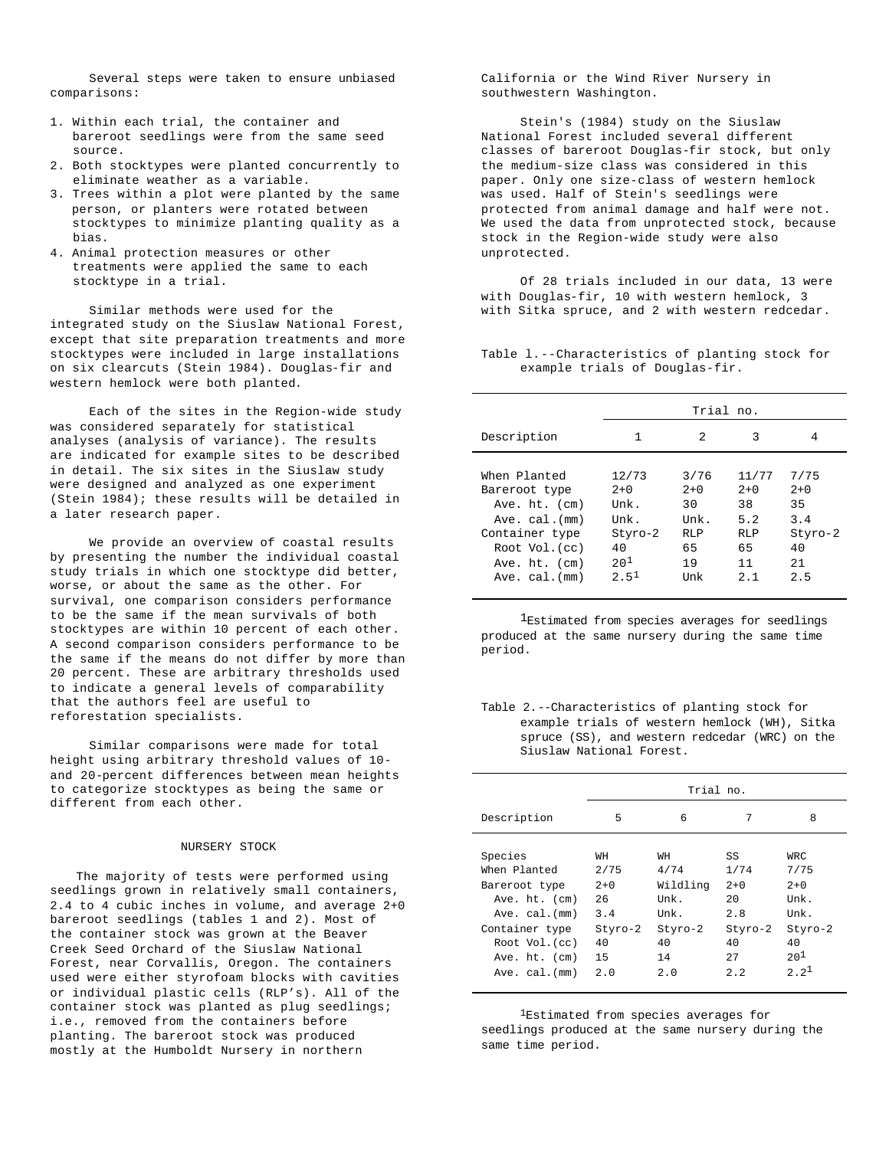Several steps were taken to ensure unbiased comparisons:

- 1. Within each trial, the container and bareroot seedlings were from the same seed source.
- 2. Both stocktypes were planted concurrently to eliminate weather as a variable.
- 3. Trees within a plot were planted by the same person, or planters were rotated between stocktypes to minimize planting quality as a bias.
- 4. Animal protection measures or other treatments were applied the same to each stocktype in a trial.

Similar methods were used for the integrated study on the Siuslaw National Forest, except that site preparation treatments and more stocktypes were included in large installations on six clearcuts (Stein 1984). Douglas-fir and western hemlock were both planted.

Each of the sites in the Region-wide study was considered separately for statistical analyses (analysis of variance). The results are indicated for example sites to be described in detail. The six sites in the Siuslaw study were designed and analyzed as one experiment (Stein 1984); these results will be detailed in a later research paper.

We provide an overview of coastal results by presenting the number the individual coastal study trials in which one stocktype did better, worse, or about the same as the other. For survival, one comparison considers performance to be the same if the mean survivals of both stocktypes are within 10 percent of each other. A second comparison considers performance to be the same if the means do not differ by more than 20 percent. These are arbitrary thresholds used to indicate a general levels of comparability that the authors feel are useful to reforestation specialists.

Similar comparisons were made for total height using arbitrary threshold values of 10 and 20-percent differences between mean heights to categorize stocktypes as being the same or different from each other.

## NURSERY STOCK

The majority of tests were performed using seedlings grown in relatively small containers, 2.4 to 4 cubic inches in volume, and average 2+0 bareroot seedlings (tables 1 and 2). Most of the container stock was grown at the Beaver Creek Seed Orchard of the Siuslaw National Forest, near Corvallis, Oregon. The containers used were either styrofoam blocks with cavities or individual plastic cells (RLP's). All of the container stock was planted as plug seedlings; i.e., removed from the containers before planting. The bareroot stock was produced mostly at the Humboldt Nursery in northern

California or the Wind River Nursery in southwestern Washington.

Stein's (1984) study on the Siuslaw National Forest included several different classes of bareroot Douglas-fir stock, but only the medium-size class was considered in this paper. Only one size-class of western hemlock was used. Half of Stein's seedlings were protected from animal damage and half were not. We used the data from unprotected stock, because stock in the Region-wide study were also unprotected.

Of 28 trials included in our data, 13 were with Douglas-fir, 10 with western hemlock, 3 with Sitka spruce, and 2 with western redcedar.

Table l.--Characteristics of planting stock for example trials of Douglas-fir.

|                                                                                                                                                        | Trial no.                                                                       |                                                              |                                                              |                                                           |
|--------------------------------------------------------------------------------------------------------------------------------------------------------|---------------------------------------------------------------------------------|--------------------------------------------------------------|--------------------------------------------------------------|-----------------------------------------------------------|
| Description                                                                                                                                            | 1                                                                               | 2                                                            | 3                                                            | 4                                                         |
| When Planted<br>Bareroot type<br>Ave. $ht.$ (cm)<br>Ave. $cal$ . $(mm)$<br>Container type<br>Root Vol. (cc)<br>Ave. $ht.$ (cm)<br>$Ave. cal.$ ( $mm$ ) | 12/73<br>$2+0$<br>Unk.<br>Unk.<br>Styro-2<br>40<br>$20^{1}$<br>2.5 <sup>1</sup> | 3/76<br>$2+0$<br>30<br>Unk.<br><b>RLP</b><br>65<br>19<br>Unk | 11/77<br>$2+0$<br>38<br>5.2<br><b>RLP</b><br>65<br>11<br>2.1 | 7/75<br>$2+0$<br>35<br>3.4<br>Styro-2<br>40<br>2.1<br>2.5 |

<sup>1</sup>Estimated from species averages for seedlings produced at the same nursery during the same time period.

Table 2.--Characteristics of planting stock for example trials of western hemlock (WH), Sitka spruce (SS), and western redcedar (WRC) on the Siuslaw National Forest.

|                                                                                                                                                   | Trial no.                                                      |                                                                      |                                                                          |                                                                                 |
|---------------------------------------------------------------------------------------------------------------------------------------------------|----------------------------------------------------------------|----------------------------------------------------------------------|--------------------------------------------------------------------------|---------------------------------------------------------------------------------|
| Description                                                                                                                                       | 5                                                              | 6                                                                    | 7                                                                        | 8                                                                               |
| Species<br>When Planted<br>Bareroot type<br>Ave. ht. (cm)<br>Ave. cal. (mm)<br>Container type<br>Root Vol.(cc)<br>Ave. ht. (cm)<br>Ave. cal. (mm) | WH<br>2/75<br>$2+0$<br>26<br>3.4<br>Styro-2<br>40<br>15<br>2.0 | WH<br>4/74<br>Wildling<br>Unk.<br>Unk.<br>Styro-2<br>40<br>14<br>2.0 | SS<br>1/74<br>$2+0$<br>$20^{\circ}$<br>2.8<br>Styro-2<br>40<br>27<br>2.2 | WRC.<br>7/75<br>$2+0$<br>Unk.<br>Unk.<br>Styro-2<br>40<br>$20^{1}$<br>$2.2^{1}$ |

1Estimated from species averages for seedlings produced at the same nursery during the same time period.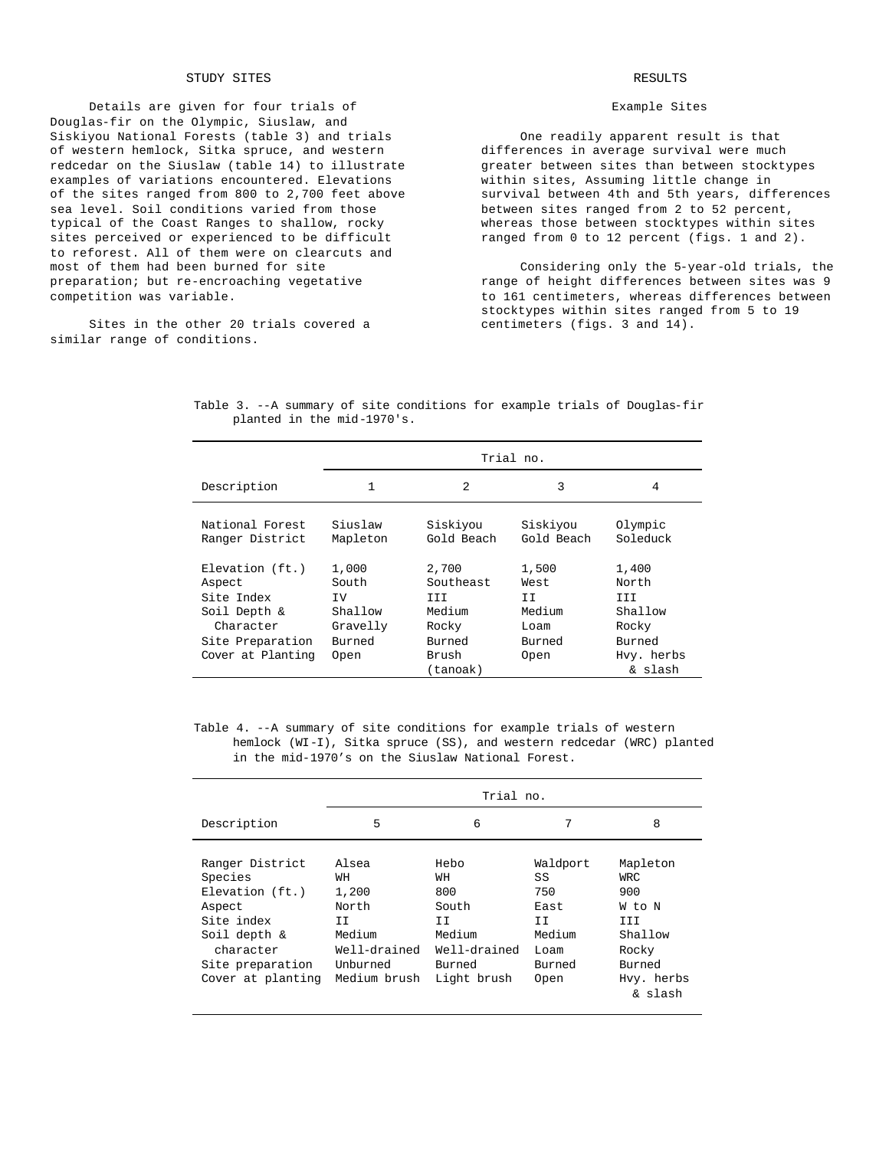## STUDY SITES

Details are given for four trials of Douglas-fir on the Olympic, Siuslaw, and Siskiyou National Forests (table 3) and trials of western hemlock, Sitka spruce, and western redcedar on the Siuslaw (table 14) to illustrate examples of variations encountered. Elevations of the sites ranged from 800 to 2,700 feet above sea level. Soil conditions varied from those typical of the Coast Ranges to shallow, rocky sites perceived or experienced to be difficult to reforest. All of them were on clearcuts and most of them had been burned for site preparation; but re-encroaching vegetative competition was variable.

Sites in the other 20 trials covered a similar range of conditions.

# RESULTS

## Example Sites

One readily apparent result is that differences in average survival were much greater between sites than between stocktypes within sites, Assuming little change in survival between 4th and 5th years, differences between sites ranged from 2 to 52 percent, whereas those between stocktypes within sites ranged from 0 to 12 percent (figs. 1 and 2).

Considering only the 5-year-old trials, the range of height differences between sites was 9 to 161 centimeters, whereas differences between stocktypes within sites ranged from 5 to 19 centimeters (figs. 3 and 14).

|                                                                                             | Trial no.                                              |                                                        |                                                   |                                                     |
|---------------------------------------------------------------------------------------------|--------------------------------------------------------|--------------------------------------------------------|---------------------------------------------------|-----------------------------------------------------|
| Description                                                                                 | 1                                                      | 2                                                      | 3                                                 | 4                                                   |
| National Forest<br>Ranger District                                                          | Siuslaw<br>Mapleton                                    | Siskiyou<br>Gold Beach                                 | Siskiyou<br>Gold Beach                            | Olympic<br>Soleduck                                 |
| $Elevantion$ (ft.)<br>Aspect<br>Site Index<br>Soil Depth &<br>Character<br>Site Preparation | 1,000<br>South<br>TV.<br>Shallow<br>Gravelly<br>Burned | 2,700<br>Southeast<br>III<br>Medium<br>Rocky<br>Burned | 1,500<br>West.<br>TT.<br>Medium<br>Loam<br>Burned | 1,400<br>North<br>TTT<br>Shallow<br>Rocky<br>Burned |
| Cover at Planting                                                                           | Open                                                   | Brush<br>(tanoak)                                      | Open                                              | Hvy. herbs<br>& slash                               |

Table 3. --A summary of site conditions for example trials of Douglas-fir planted in the mid-1970's.

Table 4. --A summary of site conditions for example trials of western hemlock (WI-I), Sitka spruce (SS), and western redcedar (WRC) planted in the mid-1970's on the Siuslaw National Forest.

|                                                                                                                                                    | Trial no.                                                                                  |                                                                                     |                                                                         |                                                                                                 |
|----------------------------------------------------------------------------------------------------------------------------------------------------|--------------------------------------------------------------------------------------------|-------------------------------------------------------------------------------------|-------------------------------------------------------------------------|-------------------------------------------------------------------------------------------------|
| Description                                                                                                                                        | 5                                                                                          | 6                                                                                   | 7                                                                       | 8                                                                                               |
| Ranger District<br>Species<br>$Elevantion$ ( $ft.$ )<br>Aspect<br>Site index<br>Soil depth &<br>character<br>Site preparation<br>Cover at planting | Alsea<br>WН<br>1,200<br>North<br>II<br>Medium<br>Well-drained<br>IInhurned<br>Medium brush | Hebo<br>WН<br>800<br>South<br>ΙI<br>Medium<br>Well-drained<br>Burned<br>Light brush | Waldport<br>SS<br>750<br>East<br>ΙI<br>Medium<br>Loam<br>Burned<br>Open | Mapleton<br>WRC.<br>900<br>W to N<br>III<br>Shallow<br>Rocky<br>Burned<br>Hvy. herbs<br>& slash |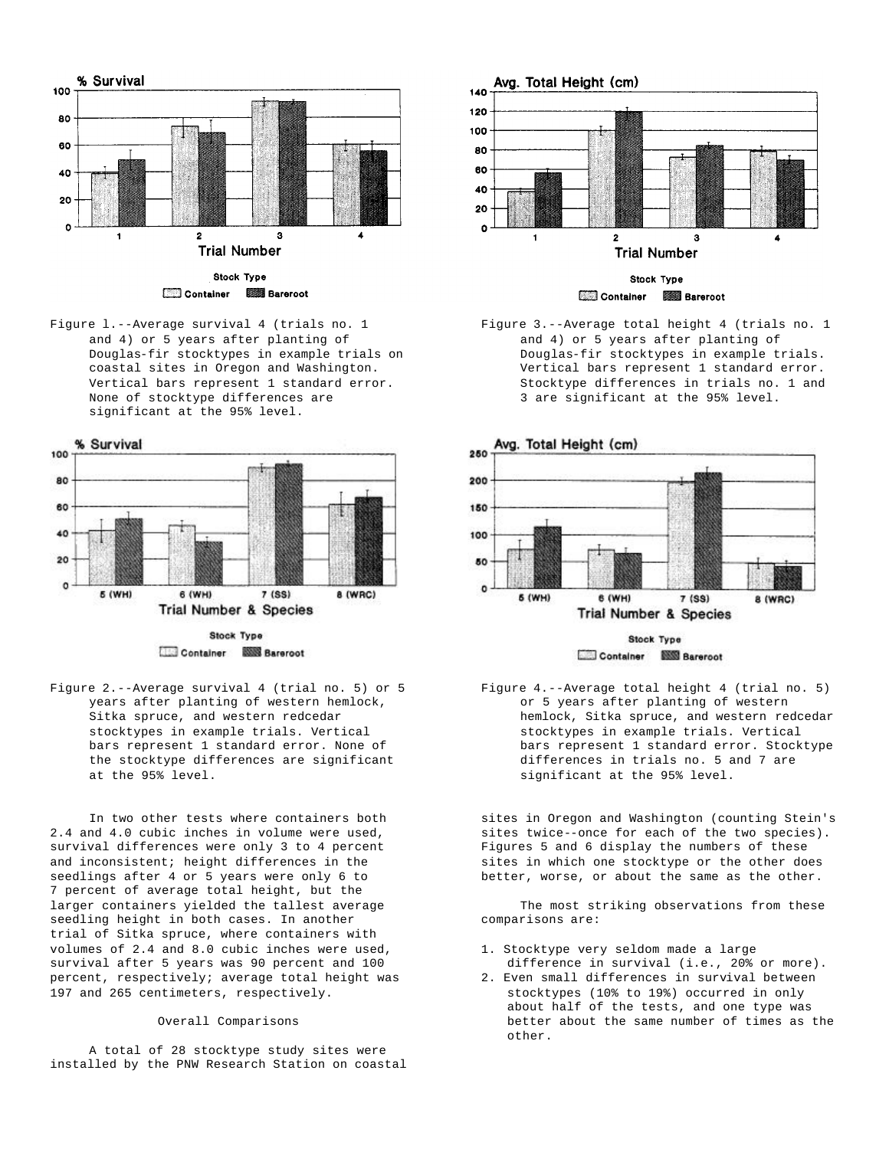

Figure l.--Average survival 4 (trials no. 1 and 4) or 5 years after planting of Douglas-fir stocktypes in example trials on coastal sites in Oregon and Washington. Vertical bars represent 1 standard error. None of stocktype differences are significant at the 95% level.



Container **2008** Bareroot

Figure 2.--Average survival 4 (trial no. 5) or 5 years after planting of western hemlock, Sitka spruce, and western redcedar stocktypes in example trials. Vertical bars represent 1 standard error. None of the stocktype differences are significant at the 95% level.

In two other tests where containers both 2.4 and 4.0 cubic inches in volume were used, survival differences were only 3 to 4 percent and inconsistent; height differences in the seedlings after 4 or 5 years were only 6 to 7 percent of average total height, but the larger containers yielded the tallest average seedling height in both cases. In another trial of Sitka spruce, where containers with volumes of 2.4 and 8.0 cubic inches were used, survival after 5 years was 90 percent and 100 percent, respectively; average total height was 197 and 265 centimeters, respectively.

#### Overall Comparisons

A total of 28 stocktype study sites were installed by the PNW Research Station on coastal



Figure 3.--Average total height 4 (trials no. 1 and 4) or 5 years after planting of Douglas-fir stocktypes in example trials. Vertical bars represent 1 standard error. Stocktype differences in trials no. 1 and 3 are significant at the 95% level.



Figure 4.--Average total height 4 (trial no. 5) or 5 years after planting of western hemlock, Sitka spruce, and western redcedar stocktypes in example trials. Vertical bars represent 1 standard error. Stocktype differences in trials no. 5 and 7 are significant at the 95% level.

sites in Oregon and Washington (counting Stein's sites twice--once for each of the two species). Figures 5 and 6 display the numbers of these sites in which one stocktype or the other does better, worse, or about the same as the other.

The most striking observations from these comparisons are:

- 1. Stocktype very seldom made a large difference in survival (i.e., 20% or more).
- 2. Even small differences in survival between stocktypes (10% to 19%) occurred in only about half of the tests, and one type was better about the same number of times as the other.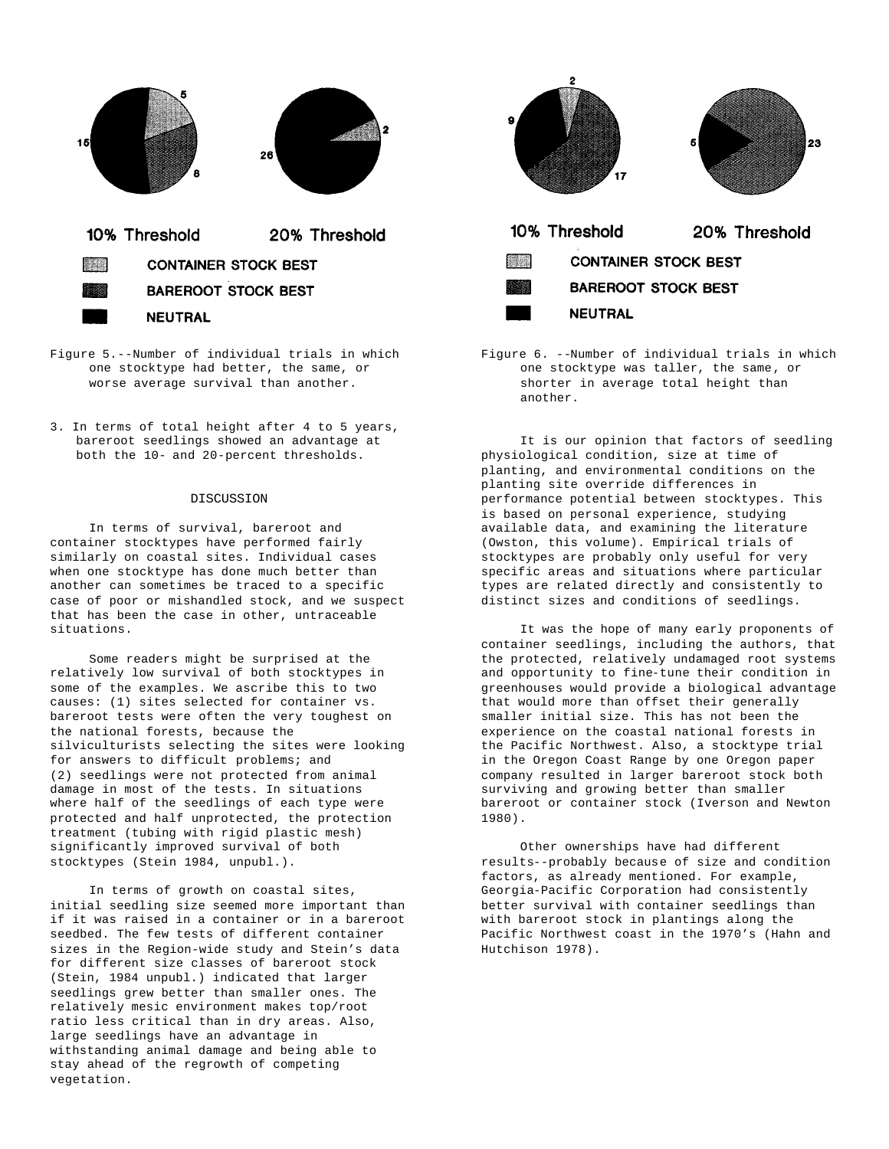

- Figure 5.--Number of individual trials in which one stocktype had better, the same, or worse average survival than another.
- 3. In terms of total height after 4 to 5 years, bareroot seedlings showed an advantage at both the 10- and 20-percent thresholds.

## DISCUSSION

In terms of survival, bareroot and container stocktypes have performed fairly similarly on coastal sites. Individual cases when one stocktype has done much better than another can sometimes be traced to a specific case of poor or mishandled stock, and we suspect that has been the case in other, untraceable situations.

Some readers might be surprised at the relatively low survival of both stocktypes in some of the examples. We ascribe this to two causes: (1) sites selected for container vs. bareroot tests were often the very toughest on the national forests, because the silviculturists selecting the sites were looking for answers to difficult problems; and (2) seedlings were not protected from animal damage in most of the tests. In situations where half of the seedlings of each type were protected and half unprotected, the protection treatment (tubing with rigid plastic mesh) significantly improved survival of both stocktypes (Stein 1984, unpubl.).

In terms of growth on coastal sites, initial seedling size seemed more important than if it was raised in a container or in a bareroot seedbed. The few tests of different container sizes in the Region-wide study and Stein's data for different size classes of bareroot stock (Stein, 1984 unpubl.) indicated that larger seedlings grew better than smaller ones. The relatively mesic environment makes top/root ratio less critical than in dry areas. Also, large seedlings have an advantage in withstanding animal damage and being able to stay ahead of the regrowth of competing vegetation.



Figure 6. --Number of individual trials in which one stocktype was taller, the same, or shorter in average total height than another.

It is our opinion that factors of seedling physiological condition, size at time of planting, and environmental conditions on the planting site override differences in performance potential between stocktypes. This is based on personal experience, studying available data, and examining the literature (Owston, this volume). Empirical trials of stocktypes are probably only useful for very specific areas and situations where particular types are related directly and consistently to distinct sizes and conditions of seedlings.

It was the hope of many early proponents of container seedlings, including the authors, that the protected, relatively undamaged root systems and opportunity to fine-tune their condition in greenhouses would provide a biological advantage that would more than offset their generally smaller initial size. This has not been the experience on the coastal national forests in the Pacific Northwest. Also, a stocktype trial in the Oregon Coast Range by one Oregon paper company resulted in larger bareroot stock both surviving and growing better than smaller bareroot or container stock (Iverson and Newton 1980).

Other ownerships have had different results--probably because of size and condition factors, as already mentioned. For example, Georgia-Pacific Corporation had consistently better survival with container seedlings than with bareroot stock in plantings along the Pacific Northwest coast in the 1970's (Hahn and Hutchison 1978).